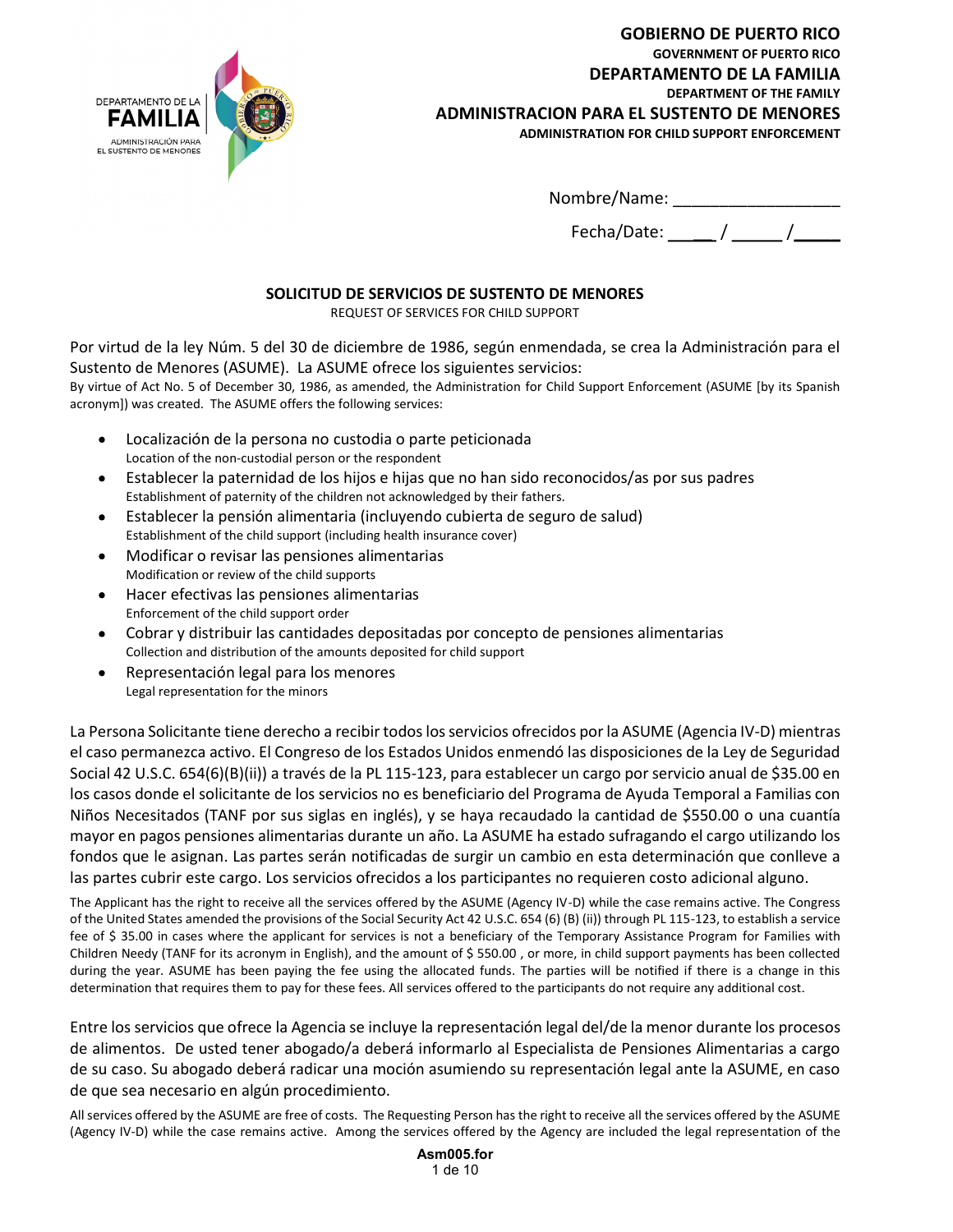

GOBIERNO DE PUERTO RICO GOVERNMENT OF PUERTO RICO DEPARTAMENTO DE LA FAMILIA DEPARTMENT OF THE FAMILY ADMINISTRACION PARA EL SUSTENTO DE MENORES ADMINISTRATION FOR CHILD SUPPORT ENFORCEMENT

Nombre/Name: \_\_\_\_\_\_\_\_\_\_\_\_\_\_\_\_\_\_

Fecha/Date:  $\frac{1}{\sqrt{2\pi}}$ 

# SOLICITUD DE SERVICIOS DE SUSTENTO DE MENORES

REQUEST OF SERVICES FOR CHILD SUPPORT

Por virtud de la ley Núm. 5 del 30 de diciembre de 1986, según enmendada, se crea la Administración para el Sustento de Menores (ASUME). La ASUME ofrece los siguientes servicios:

By virtue of Act No. 5 of December 30, 1986, as amended, the Administration for Child Support Enforcement (ASUME [by its Spanish acronym]) was created. The ASUME offers the following services:

- Localización de la persona no custodia o parte peticionada Location of the non-custodial person or the respondent
- Establecer la paternidad de los hijos e hijas que no han sido reconocidos/as por sus padres Establishment of paternity of the children not acknowledged by their fathers.
- Establecer la pensión alimentaria (incluyendo cubierta de seguro de salud)  $\bullet$ Establishment of the child support (including health insurance cover)
- Modificar o revisar las pensiones alimentarias Modification or review of the child supports
- Hacer efectivas las pensiones alimentarias  $\bullet$ Enforcement of the child support order
- $\bullet$ Cobrar y distribuir las cantidades depositadas por concepto de pensiones alimentarias Collection and distribution of the amounts deposited for child support
- Representación legal para los menores  $\bullet$ Legal representation for the minors

3, para establecer un cargo por servicio anual de \$35.00 en<br>eneficiario del Programa de Ayuda Temporal a Familias con<br>se haya recaudado la cantidad de \$550.00 o una cuantía<br>siño. La ASUME ha estado sufragando el cargo util La Persona Solicitante tiene derecho a recibir todos los servicios ofrecidos por la ASUME (Agencia IV-D) mientras el caso permanezca activo. El Congreso de los Estados Unidos enmendó las disposiciones de la Ley de Seguridad Social 42 U.S.C. 654(6)(B)(ii)) a través de la PL 115-123, para establecer un cargo por servicio anual de \$35.00 en los casos donde el solicitante de los servicios no es beneficiario del Programa de Ayuda Temporal a Familias con Niños Necesitados (TANF por sus siglas en inglés), y se haya recaudado la cantidad de \$550.00 o una cuantía mayor en pagos pensiones alimentarias durante un año. La ASUME ha estado sufragando el cargo utilizando los fondos que le asignan. Las partes serán notificadas de surgir un cambio en esta determinación que conlleve a las partes cubrir este cargo. Los servicios ofrecidos a los participantes no requieren costo adicional alguno.

The Applicant has the right to receive all the services offered by the ASUME (Agency IV-D) while the case remains active. The Congress of the United States amended the provisions of the Social Security Act 42 U.S.C. 654 (6) (B) (ii)) through PL 115-123, to establish a service fee of \$ 35.00 in cases where the applicant for services is not a beneficiary of the Temporary Assistance Program for Families with Children Needy (TANF for its acronym in English), and the amount of \$ 550.00 , or more, in child support payments has been collected during the year. ASUME has been paying the fee using the allocated funds. The parties will be notified if there is a change in this determination that requires them to pay for these fees. All services offered to the participants do not require any additional cost.

Entre los servicios que ofrece la Agencia se incluye la representación legal del/de la menor durante los procesos de alimentos. De usted tener abogado/a deberá informarlo al Especialista de Pensiones Alimentarias a cargo de su caso. Su abogado deberá radicar una moción asumiendo su representación legal ante la ASUME, en caso de que sea necesario en algún procedimiento.

All services offered by the ASUME are free of costs. The Requesting Person has the right to receive all the services offered by the ASUME (Agency IV-D) while the case remains active. Among the services offered by the Agency are included the legal representation of the

Asm005.for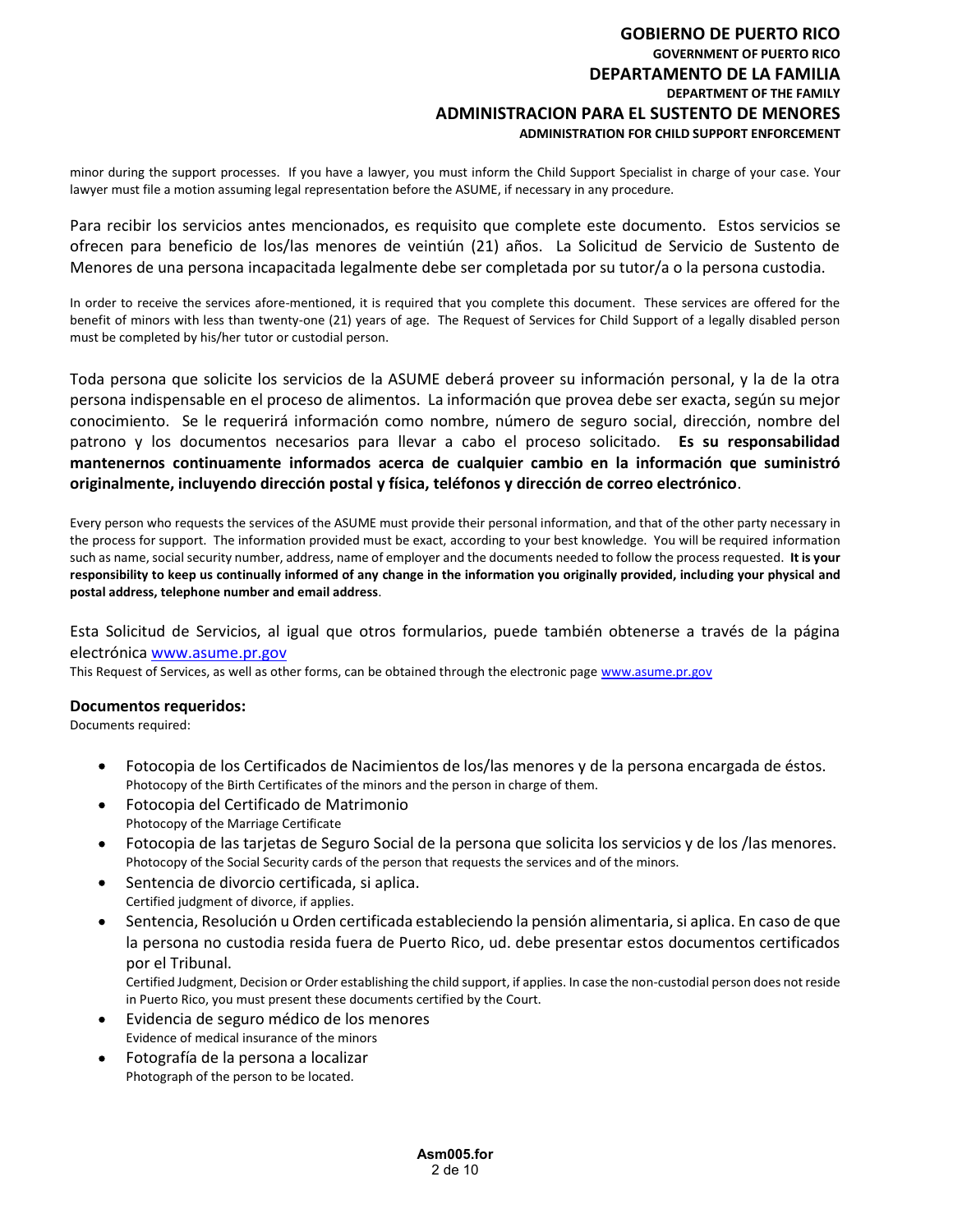### GOBIERNO DE PUERTO RICO GOVERNMENT OF PUERTO RICO DEPARTAMENTO DE LA FAMILIA DEPARTMENT OF THE FAMILY ADMINISTRACION PARA EL SUSTENTO DE MENORES ADMINISTRATION FOR CHILD SUPPORT ENFORCEMENT

minor during the support processes. If you have a lawyer, you must inform the Child Support Specialist in charge of your case. Your lawyer must file a motion assuming legal representation before the ASUME, if necessary in any procedure.

Para recibir los servicios antes mencionados, es requisito que complete este documento. Estos servicios se ofrecen para beneficio de los/las menores de veintiún (21) años. La Solicitud de Servicio de Sustento de Menores de una persona incapacitada legalmente debe ser completada por su tutor/a o la persona custodia.

In order to receive the services afore-mentioned, it is required that you complete this document. These services are offered for the benefit of minors with less than twenty-one (21) years of age. The Request of Services for Child Support of a legally disabled person must be completed by his/her tutor or custodial person.

Toda persona que solicite los servicios de la ASUME deberá proveer su información personal, y la de la otra persona indispensable en el proceso de alimentos. La información que provea debe ser exacta, según su mejor conocimiento. Se le requerirá información como nombre, número de seguro social, dirección, nombre del patrono y los documentos necesarios para llevar a cabo el proceso solicitado. Es su responsabilidad mantenernos continuamente informados acerca de cualquier cambio en la información que suministró originalmente, incluyendo dirección postal y física, teléfonos y dirección de correo electrónico.<br>Every person who requests the services of the ASUME must provide their personal information, and that of the other party nec

the process for support. The information provided must be exact, according to your best knowledge. You will be required information such as name, social security number, address, name of employer and the documents needed to follow the process requested. It is your responsibility to keep us continually informed of any change in the information you originally provided, including your physical and postal address, telephone number and email address.<br>Esta Solicitud de Servicios, al igual que otros formularios, puede también obtenerse a través de la página

electrónica <u>www.asume.pr.gov</u><br>This Request of Services, as well as other forms, can be obtained through the electronic page www.asume.pr.gov

### Documentos requeridos:

Documents required:

- Fotocopia de los Certificados de Nacimientos de los/las menores y de la persona encargada de éstos.  $\bullet$ Photocopy of the Birth Certificates of the minors and the person in charge of them.
- Fotocopia del Certificado de Matrimonio Photocopy of the Marriage Certificate
- Fotocopia de las tarjetas de Seguro Social de la persona que solicita los servicios y de los /las menores. Photocopy of the Social Security cards of the person that requests the services and of the minors.
- Sentencia de divorcio certificada, si aplica. Certified judgment of divorce, if applies.
- s de los/las menores y de la persona encargada de estos.<br>
he person in charge of them.<br>
e la persona que solicita los servicios y de los /las menores.<br>
hat requests the services and of the minors.<br>
tableciendo la pensión a Sentencia, Resolución u Orden certificada estableciendo la pensión alimentaria, si aplica. En caso de que la persona no custodia resida fuera de Puerto Rico, ud. debe presentar estos documentos certificados por el Tribunal.

Certified Judgment, Decision or Order establishing the child support, if applies. In case the non-custodial person does not reside in Puerto Rico, you must present these documents certified by the Court.

- Evidencia de seguro médico de los menores Evidence of medical insurance of the minors
- $\bullet$ Fotografía de la persona a localizar Photograph of the person to be located.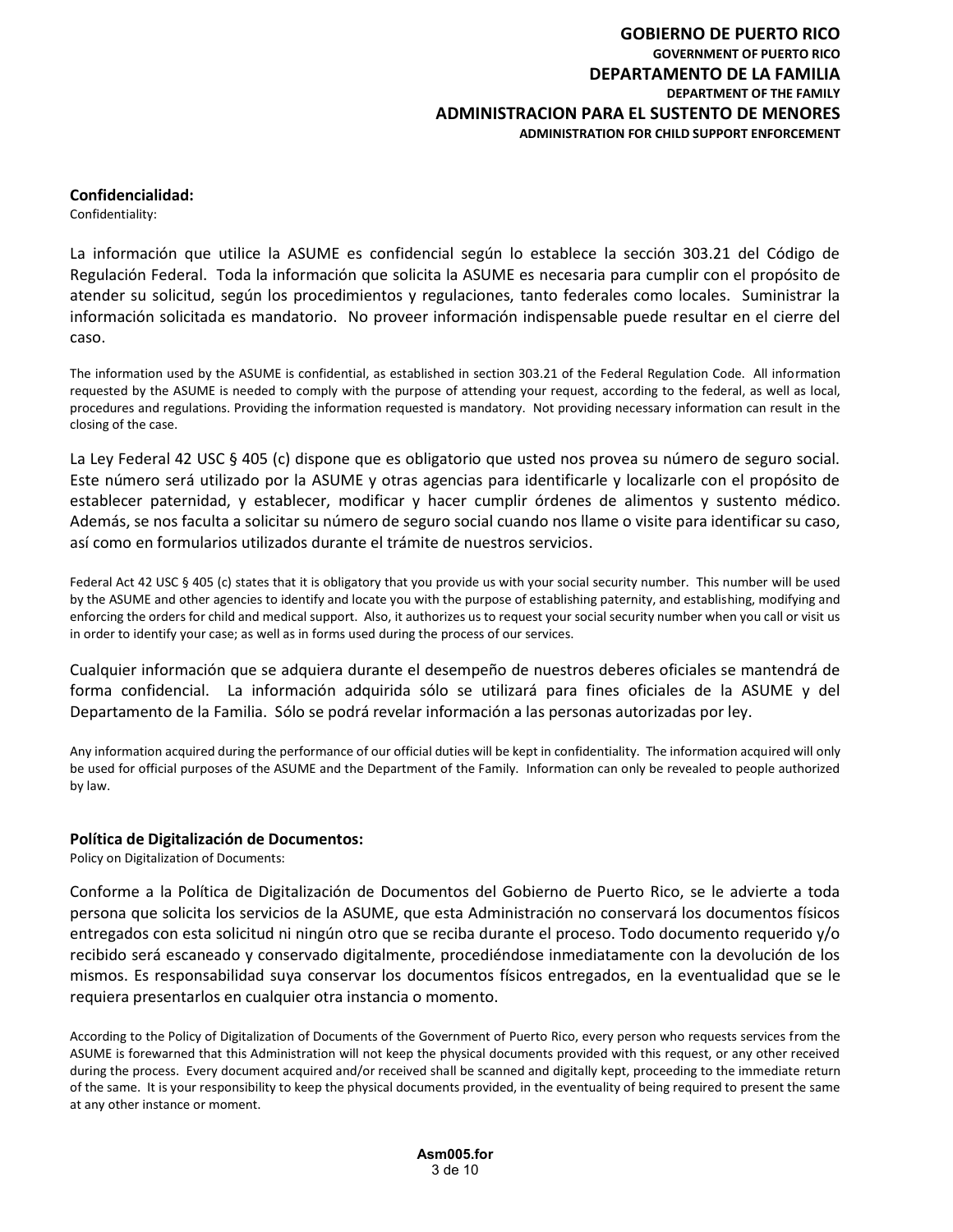### Confidencialidad:

Confidentiality:

La información que utilice la ASUME es confidencial según lo establece la sección 303.21 del Código de Regulación Federal. Toda la información que solicita la ASUME es necesaria para cumplir con el propósito de atender su solicitud, según los procedimientos y regulaciones, tanto federales como locales. Suministrar la información solicitada es mandatorio. No proveer información indispensable puede resultar en el cierre del caso.

The information used by the ASUME is confidential, as established in section 303.21 of the Federal Regulation Code. All information requested by the ASUME is needed to comply with the purpose of attending your request, according to the federal, as well as local, procedures and regulations. Providing the information requested is mandatory. Not providing necessary information can result in the closing of the case.

La Ley Federal 42 USC § 405 (c) dispone que es obligatorio que usted nos provea su número de seguro social. Este número será utilizado por la ASUME y otras agencias para identificarle y localizarle con el propósito de establecer paternidad, y establecer, modificar y hacer cumplir órdenes de alimentos y sustento médico. Además, se nos faculta a solicitar su número de seguro social cuando nos llame o visite para identificar su caso, así como en formularios utilizados durante el trámite de nuestros servicios.

Federal Act 42 USC § 405 (c) states that it is obligatory that you provide us with your social security number. This number will be used by the ASUME and other agencies to identify and locate you with the purpose of establishing paternity, and establishing, modifying and enforcing the orders for child and medical support. Also, it authorizes us to request your social security number when you call or visit us in order to identify your case; as well as in forms used during the process of our services.

Cualquier información que se adquiera durante el desempeño de nuestros deberes oficiales se mantendrá de forma confidencial. La información adquirida sólo se utilizará para fines oficiales de la ASUME y del Departamento de la Familia. Sólo se podrá revelar información a las personas autorizadas por ley.

Any information acquired during the performance of our official duties will be kept in confidentiality. The information acquired will only be used for official purposes of the ASUME and the Department of the Family. Information can only be revealed to people authorized by law.

### Política de Digitalización de Documentos:

Policy on Digitalization of Documents:

to the Family. Information can only be revealed to people authorized<br>
entos del Gobierno de Puerto Rico, se le advierte a toda<br>
esta Administración no conservará los documentos físicos<br>
reciba durante el proceso. Todo docu Conforme a la Política de Digitalización de Documentos del Gobierno de Puerto Rico, se le advierte a toda persona que solicita los servicios de la ASUME, que esta Administración no conservará los documentos físicos entregados con esta solicitud ni ningún otro que se reciba durante el proceso. Todo documento requerido y/o recibido será escaneado y conservado digitalmente, procediéndose inmediatamente con la devolución de los mismos. Es responsabilidad suya conservar los documentos físicos entregados, en la eventualidad que se le requiera presentarlos en cualquier otra instancia o momento.

According to the Policy of Digitalization of Documents of the Government of Puerto Rico, every person who requests services from the ASUME is forewarned that this Administration will not keep the physical documents provided with this request, or any other received during the process. Every document acquired and/or received shall be scanned and digitally kept, proceeding to the immediate return of the same. It is your responsibility to keep the physical documents provided, in the eventuality of being required to present the same at any other instance or moment.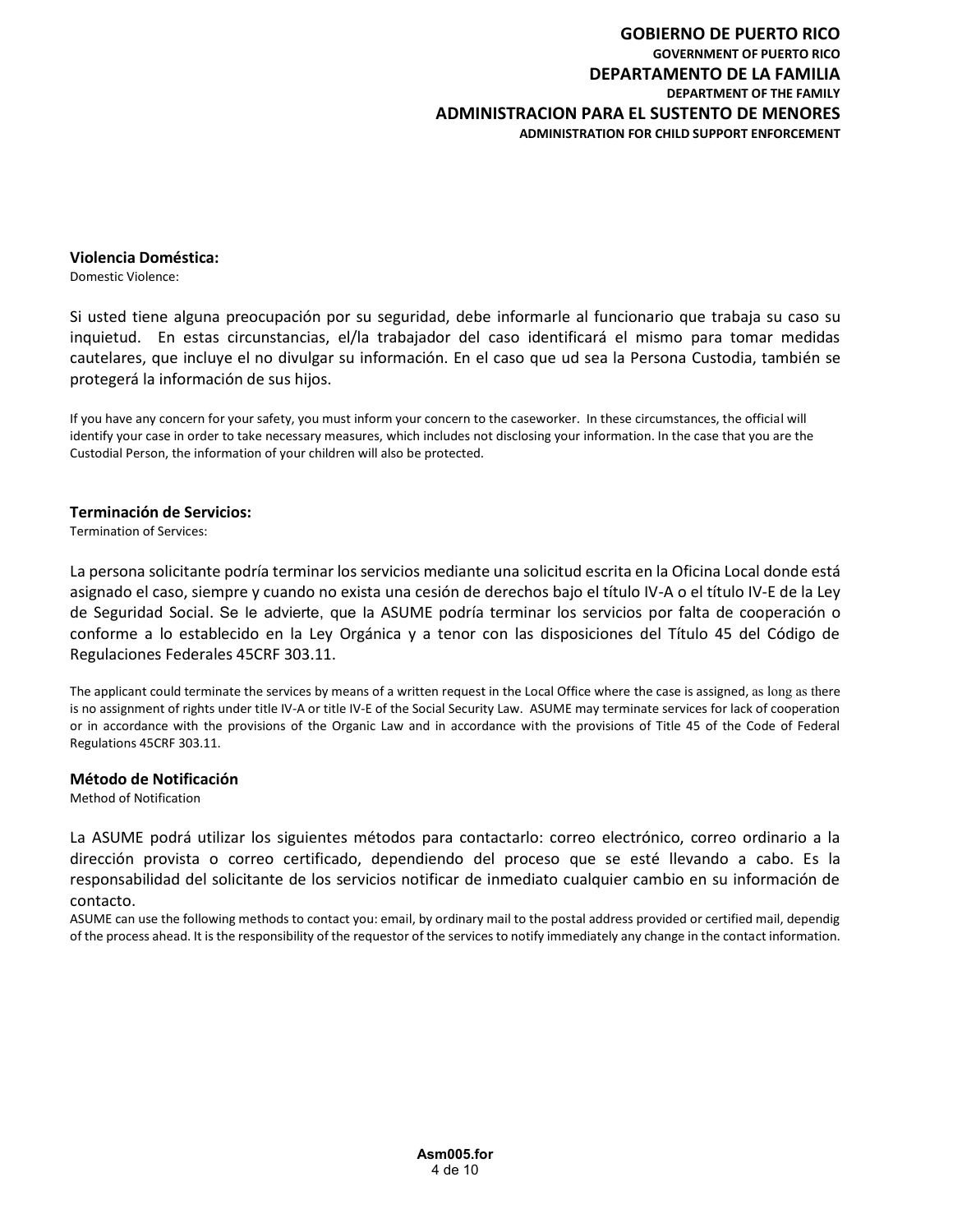### Violencia Doméstica:

Domestic Violence:

Si usted tiene alguna preocupación por su seguridad, debe informarle al funcionario que trabaja su caso su inquietud. En estas circunstancias, el/la trabajador del caso identificará el mismo para tomar medidas cautelares, que incluye el no divulgar su información. En el caso que ud sea la Persona Custodia, también se protegerá la información de sus hijos.

If you have any concern for your safety, you must inform your concern to the caseworker. In these circumstances, the official will identify your case in order to take necessary measures, which includes not disclosing your information. In the case that you are the Custodial Person, the information of your children will also be protected.

### Terminación de Servicios:

Termination of Services:

La persona solicitante podría terminar los servicios mediante una solicitud escrita en la Oficina Local donde está asignado el caso, siempre y cuando no exista una cesión de derechos bajo el título IV-A o el título IV-E de la Ley Wielencia Doméstica:<br>Si usted tiene alguna preocupación por su seguridad, debe informarle al funcionario que trabaja su caso su<br>inquietud. En estas circunstancias, el/la trabajador del caso identificará el mismo para tomar conforme a lo establecido en la Ley Orgánica y a tenor con las disposiciones del Título 45 del Código de Regulaciones Federales 45CRF 303.11.

The applicant could terminate the services by means of a written request in the Local Office where the case is assigned, as long as there is no assigned, as long as there is no assigned, as long as there is no and the IV-A or in accordance with the provisions of the Organic Law and in accordance with the provisions of Title 45 of the Code of Federal Regulations 45CRF 303.11.

### Método de Notificación

Method of Notification

ara contactarlo: correo electrónico, correo ordinario a la<br>
endo del proceso que se esté llevando a cabo. Es la<br>
ficar de inmediato cualquier cambio en su información de<br>
ordinary mail to the postal address provided or cer La ASUME podrá utilizar los siguientes métodos para contactarlo: correo electrónico, correo ordinario a la dirección provista o correo certificado, dependiendo del proceso que se esté llevando a cabo. Es la responsabilidad del solicitante de los servicios notificar de inmediato cualquier cambio en su información de contacto.

ASUME can use the following methods to contact you: email, by ordinary mail to the postal address provided or certified mail, dependig of the process ahead. It is the responsibility of the requestor of the services to notify immediately any change in the contact information.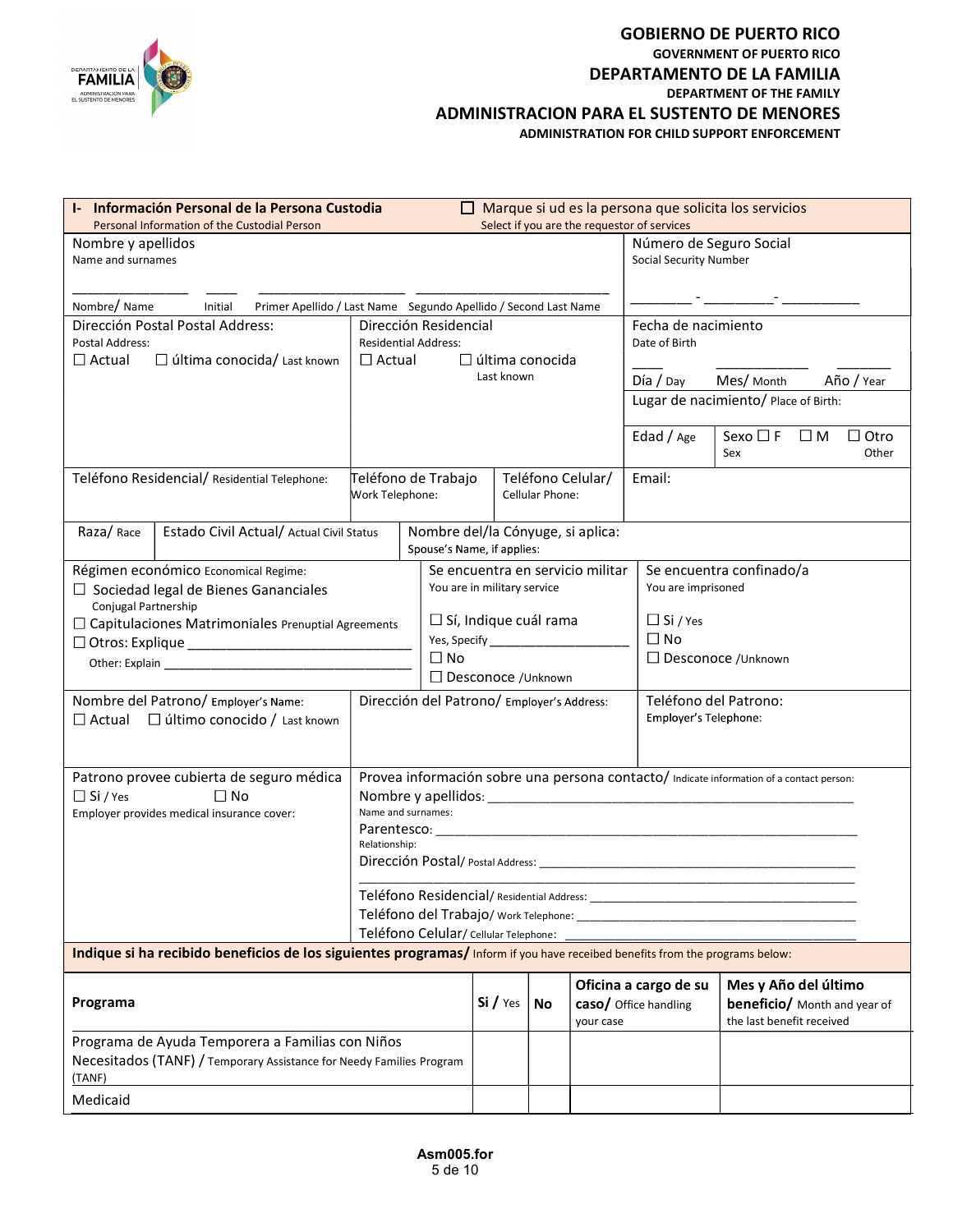

### GOBIERNO DE PUERTO RICO GOVERNMENT OF PUERTO RICO DEPARTAMENTO DE LA FAMILIA DEPARTMENT OF THE FAMILY ADMINISTRACION PARA EL SUSTENTO DE MENORES

| DEPARTAMENTO DE LA<br>FAMILIA<br><b>IDMINISTRACIÓN PARA</b><br>EL SUSTENTO DE MENORES                                                                                    |                                                      |           |                                                                                           |                 |                                   |                                                    | <b>GOBIERNO DE PUERTO RICO</b><br><b>GOVERNMENT OF PUERTO RICO</b><br>DEPARTAMENTO DE LA FAMILIA<br>DEPARTMENT OF THE FAMILY<br><b>ADMINISTRACION PARA EL SUSTENTO DE MENORES</b><br>ADMINISTRATION FOR CHILD SUPPORT ENFORCEMENT |
|--------------------------------------------------------------------------------------------------------------------------------------------------------------------------|------------------------------------------------------|-----------|-------------------------------------------------------------------------------------------|-----------------|-----------------------------------|----------------------------------------------------|-----------------------------------------------------------------------------------------------------------------------------------------------------------------------------------------------------------------------------------|
| Información Personal de la Persona Custodia<br>$\mathbf{I}$<br>Personal Information of the Custodial Person                                                              |                                                      | ப         |                                                                                           |                 |                                   | Select if you are the requestor of services        | Marque si ud es la persona que solicita los servicios                                                                                                                                                                             |
| Nombre y apellidos<br>Name and surnames                                                                                                                                  |                                                      |           |                                                                                           |                 |                                   | Número de Seguro Social<br>Social Security Number  |                                                                                                                                                                                                                                   |
| Nombre/ Name<br>Primer Apellido / Last Name Segundo Apellido / Second Last Name<br>Initial                                                                               |                                                      |           |                                                                                           |                 |                                   |                                                    |                                                                                                                                                                                                                                   |
| Dirección Postal Postal Address:<br>Postal Address:                                                                                                                      | Dirección Residencial<br><b>Residential Address:</b> |           |                                                                                           |                 |                                   | Fecha de nacimiento<br>Date of Birth               |                                                                                                                                                                                                                                   |
| $\Box$ última conocida/ Last known<br>$\sqcup$ Actual                                                                                                                    | $\Box$ Actual                                        |           | $\Box$ última conocida<br>Last known                                                      |                 |                                   | Día / Day                                          | Mes/ Month<br>Año / Year<br>Lugar de nacimiento/ Place of Birth:                                                                                                                                                                  |
| Teléfono Residencial/ Residential Telephone:                                                                                                                             | Teléfono de Trabajo<br>Work Telephone:               |           |                                                                                           | Cellular Phone: | Teléfono Celular/                 | Edad / Age<br>Email:                               | Sexo $\square$ F<br>$\square$ M<br>$\Box$ Otro<br>Other<br>Sex                                                                                                                                                                    |
| Estado Civil Actual/ Actual Civil Status<br>Raza/Race                                                                                                                    |                                                      |           |                                                                                           |                 | Nombre del/la Cónyuge, si aplica: |                                                    |                                                                                                                                                                                                                                   |
| Régimen económico Economical Regime:<br>$\Box$ Sociedad legal de Bienes Gananciales<br>Conjugal Partnership<br>$\Box$ Capitulaciones Matrimoniales Prenuptial Agreements |                                                      |           | Spouse's Name, if applies:<br>You are in military service<br>$\Box$ Sí, Indique cuál rama |                 | Se encuentra en servicio militar  | You are imprisoned<br>$\Box$ Si / Yes<br>$\Box$ No | Se encuentra confinado/a                                                                                                                                                                                                          |
|                                                                                                                                                                          |                                                      | $\Box$ No |                                                                                           |                 |                                   |                                                    | □ Desconoce /Unknown                                                                                                                                                                                                              |
| Nombre del Patrono/ Employer's Name:<br>$\Box$ Actual $\Box$ último conocido / Last known                                                                                | Dirección del Patrono/ Employer's Address:           |           | □ Desconoce /Unknown                                                                      |                 |                                   | Employer's Telephone:                              | Teléfono del Patrono:                                                                                                                                                                                                             |
| Patrono provee cubierta de seguro médica<br>$\Box$ No<br>$\Box$ Si / Yes<br>Employer provides medical insurance cover:                                                   | Name and surnames:<br>Relationship:                  |           |                                                                                           |                 |                                   |                                                    | Provea información sobre una persona contacto/ Indicate information of a contact person:                                                                                                                                          |
|                                                                                                                                                                          |                                                      |           |                                                                                           |                 |                                   |                                                    |                                                                                                                                                                                                                                   |
| Indique si ha recibido beneficios de los siguientes programas/Inform if you have receibed benefits from the programs below:                                              |                                                      |           |                                                                                           |                 |                                   |                                                    |                                                                                                                                                                                                                                   |
| Programa                                                                                                                                                                 |                                                      |           | Si / Yes                                                                                  | No              | your case                         | Oficina a cargo de su<br>caso/ Office handling     | Mes y Año del último<br><b>beneficio/</b> Month and year of<br>the last benefit received                                                                                                                                          |
| Programa de Ayuda Temporera a Familias con Niños<br>Necesitados (TANF) / Temporary Assistance for Needy Families Program<br>(TANF)                                       |                                                      |           |                                                                                           |                 |                                   |                                                    |                                                                                                                                                                                                                                   |
| Medicaid                                                                                                                                                                 |                                                      |           |                                                                                           |                 |                                   |                                                    |                                                                                                                                                                                                                                   |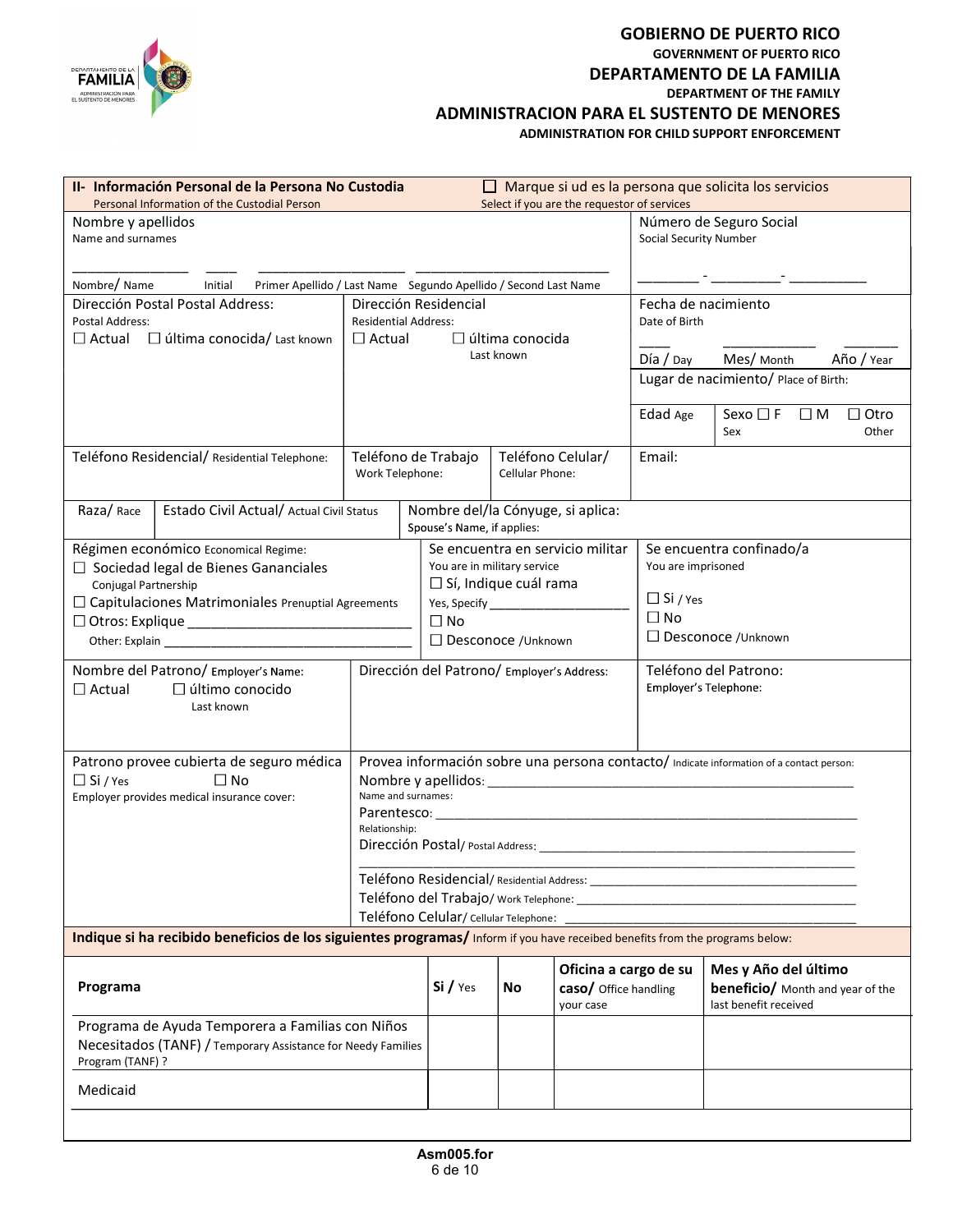

### GOBIERNO DE PUERTO RICO GOVERNMENT OF PUERTO RICO DEPARTAMENTO DE LA FAMILIA DEPARTMENT OF THE FAMILY ADMINISTRACION PARA EL SUSTENTO DE MENORES

| DEPARTAMENTO DE LA<br>FAMILIA<br>ADMINISTRACIÓN PARA<br><b>SUSTENTO DE MENORES</b>                                                   |                             |                                                                 |                        |                                                |                                 | <b>GOBIERNO DE PUERTO RICO</b><br><b>GOVERNMENT OF PUERTO RICO</b><br>DEPARTAMENTO DE LA FAMILIA<br><b>DEPARTMENT OF THE FAMILY</b><br><b>ADMINISTRACION PARA EL SUSTENTO DE MENORES</b><br><b>ADMINISTRATION FOR CHILD SUPPORT ENFORCEMENT</b> |
|--------------------------------------------------------------------------------------------------------------------------------------|-----------------------------|-----------------------------------------------------------------|------------------------|------------------------------------------------|---------------------------------|-------------------------------------------------------------------------------------------------------------------------------------------------------------------------------------------------------------------------------------------------|
| II- Información Personal de la Persona No Custodia<br>Personal Information of the Custodial Person                                   |                             |                                                                 |                        | Select if you are the requestor of services    |                                 | $\Box$ Marque si ud es la persona que solicita los servicios                                                                                                                                                                                    |
| Nombre y apellidos<br>Name and surnames                                                                                              |                             |                                                                 |                        |                                                | Social Security Number          | Número de Seguro Social                                                                                                                                                                                                                         |
| Nombre/Name<br>Initial<br>Primer Apellido / Last Name Segundo Apellido / Second Last Name                                            |                             |                                                                 |                        |                                                |                                 |                                                                                                                                                                                                                                                 |
| Dirección Postal Postal Address:<br>Postal Address:<br>□ última conocida/ Last known<br>$\Box$ Actual                                | <b>Residential Address:</b> | Dirección Residencial<br>$\Box$ última conocida                 |                        |                                                | Date of Birth                   | Fecha de nacimiento                                                                                                                                                                                                                             |
| $\sqcup$ Actual                                                                                                                      |                             |                                                                 | Last known             |                                                | Día / Day                       | Mes/ Month<br>Año / Year                                                                                                                                                                                                                        |
|                                                                                                                                      |                             |                                                                 |                        |                                                |                                 | Lugar de nacimiento/ Place of Birth:                                                                                                                                                                                                            |
| Teléfono Residencial/ Residential Telephone:                                                                                         |                             | Teléfono de Trabajo                                             |                        | Teléfono Celular/                              | Edad Age<br>Email:              | $\Box$ Otro<br>Sexo $\Box$ F<br>$\Box$ M<br>Other<br>Sex                                                                                                                                                                                        |
|                                                                                                                                      | Work Telephone:             |                                                                 | <b>Cellular Phone:</b> |                                                |                                 |                                                                                                                                                                                                                                                 |
| Estado Civil Actual/ Actual Civil Status<br>Raza/Race                                                                                |                             | Nombre del/la Cónyuge, si aplica:<br>Spouse's Name, if applies: |                        |                                                |                                 |                                                                                                                                                                                                                                                 |
| Régimen económico Economical Regime:<br>$\Box$ Sociedad legal de Bienes Gananciales<br>Conjugal Partnership                          |                             | You are in military service<br>$\Box$ Sí, Indique cuál rama     |                        | Se encuentra en servicio militar               | You are imprisoned              | Se encuentra confinado/a                                                                                                                                                                                                                        |
| $\Box$ Capitulaciones Matrimoniales Prenuptial Agreements                                                                            |                             | $\Box$ No                                                       |                        |                                                | $\Box$ Si / Yes<br>$\square$ No |                                                                                                                                                                                                                                                 |
|                                                                                                                                      |                             | $\Box$ Desconoce /Unknown                                       |                        |                                                |                                 | □ Desconoce /Unknown                                                                                                                                                                                                                            |
| Nombre del Patrono/ Employer's Name:<br>$\Box$ Actual<br>$\Box$ último conocido<br>Last known                                        |                             | Dirección del Patrono/ Employer's Address:                      |                        |                                                |                                 | Teléfono del Patrono:<br>Employer's Telephone:                                                                                                                                                                                                  |
| Patrono provee cubierta de seguro médica                                                                                             |                             |                                                                 |                        |                                                |                                 | Provea información sobre una persona contacto/ Indicate information of a contact person:                                                                                                                                                        |
| $\Box$ No<br>$\Box$ Si / Yes<br>Employer provides medical insurance cover:                                                           | Name and surnames:          |                                                                 |                        |                                                |                                 |                                                                                                                                                                                                                                                 |
|                                                                                                                                      |                             |                                                                 |                        |                                                |                                 |                                                                                                                                                                                                                                                 |
|                                                                                                                                      | Relationship:               |                                                                 |                        |                                                |                                 |                                                                                                                                                                                                                                                 |
|                                                                                                                                      |                             |                                                                 |                        |                                                |                                 |                                                                                                                                                                                                                                                 |
|                                                                                                                                      |                             |                                                                 |                        |                                                |                                 |                                                                                                                                                                                                                                                 |
| Indique si ha recibido beneficios de los siguientes programas/ Inform if you have receibed benefits from the programs below:         |                             |                                                                 |                        |                                                |                                 |                                                                                                                                                                                                                                                 |
| Programa                                                                                                                             |                             | Si / Yes                                                        | No                     | Oficina a cargo de su<br>caso/ Office handling |                                 | Mes y Año del último<br><b>beneficio/</b> Month and year of the<br>last benefit received                                                                                                                                                        |
| Programa de Ayuda Temporera a Familias con Niños<br>Necesitados (TANF) / Temporary Assistance for Needy Families<br>Program (TANF) ? |                             |                                                                 |                        | your case                                      |                                 |                                                                                                                                                                                                                                                 |
| Medicaid                                                                                                                             |                             |                                                                 |                        |                                                |                                 |                                                                                                                                                                                                                                                 |
|                                                                                                                                      |                             |                                                                 |                        |                                                |                                 |                                                                                                                                                                                                                                                 |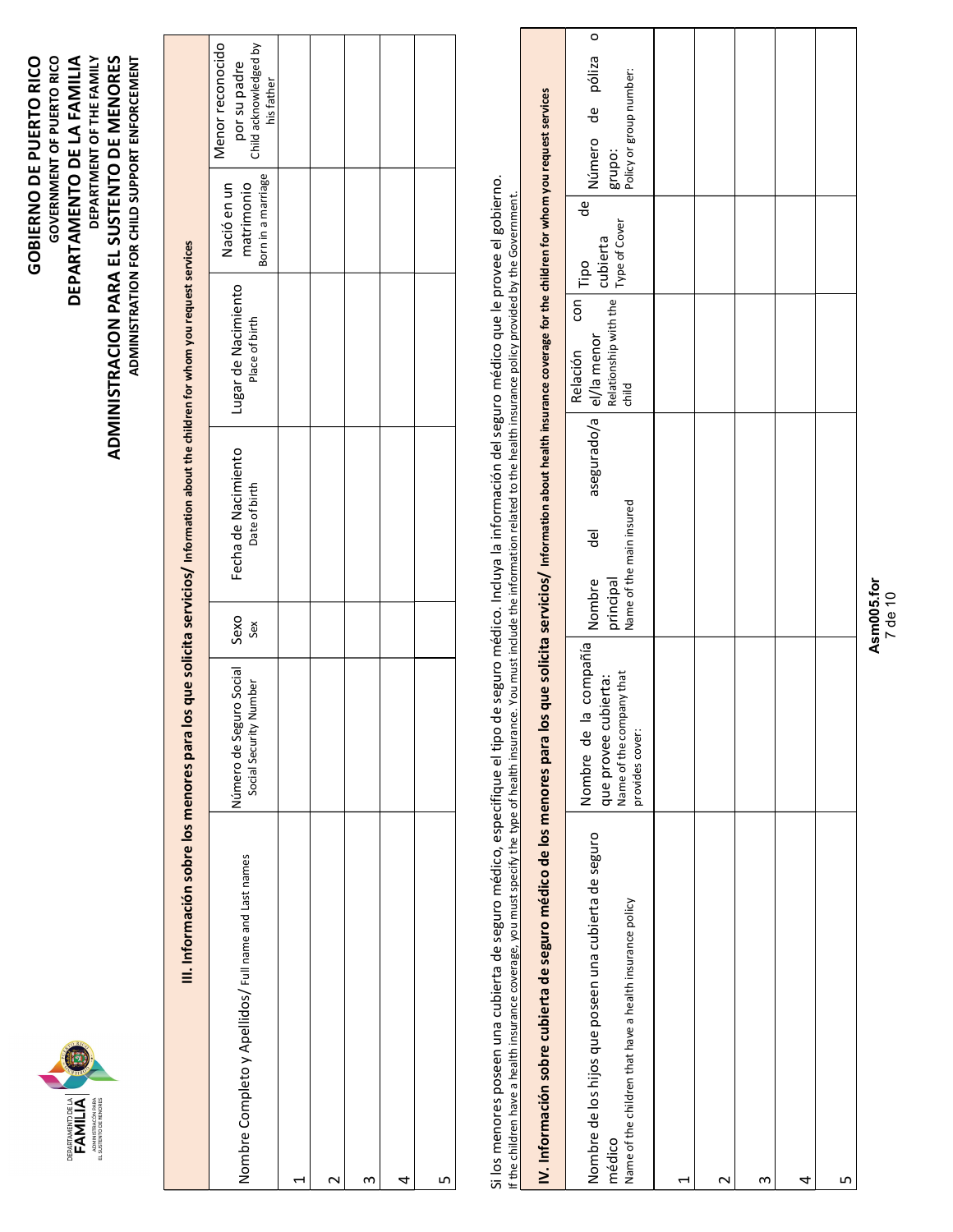

| Menor reconocido<br>Child acknowledged by<br>por su padre<br>his father                                                             |                                                       |  |  |
|-------------------------------------------------------------------------------------------------------------------------------------|-------------------------------------------------------|--|--|
| Born in a marriage<br>Nació en un<br>matrimonio                                                                                     |                                                       |  |  |
| Lugar de Nacimiento<br>Place of birth                                                                                               |                                                       |  |  |
| Fecha de Nacimiento<br>Date of birth                                                                                                |                                                       |  |  |
| Sexo<br>Sex                                                                                                                         |                                                       |  |  |
| Número de Seguro Social<br>Social Security Number                                                                                   |                                                       |  |  |
|                                                                                                                                     |                                                       |  |  |
| los que solicita servicios/ Information about the children for whom you request services<br>III. Información sobre los menores para | Iombre Completo y Apellidos/ Full name and Last names |  |  |

| Sexo<br>Sex<br>Número de Seguro Social<br>Social Security Number<br>Nombre Completo y Apellidos/ Full name and Last names<br>S<br>$\mathbf{\sim}$<br>$\overline{\phantom{0}}$                                                                                                                                                                                                                                                                                                                                                                                        | Fecha de Nacimiento                          |                                                                  |                                                   |                                                                         |
|----------------------------------------------------------------------------------------------------------------------------------------------------------------------------------------------------------------------------------------------------------------------------------------------------------------------------------------------------------------------------------------------------------------------------------------------------------------------------------------------------------------------------------------------------------------------|----------------------------------------------|------------------------------------------------------------------|---------------------------------------------------|-------------------------------------------------------------------------|
|                                                                                                                                                                                                                                                                                                                                                                                                                                                                                                                                                                      | Date of birth                                | Lugar de Nacimiento<br>Place of birth                            | Born in a marriage<br>Nació en un<br>matrimonio   | Menor reconocido<br>Child acknowledged by<br>por su padre<br>his father |
|                                                                                                                                                                                                                                                                                                                                                                                                                                                                                                                                                                      |                                              |                                                                  |                                                   |                                                                         |
|                                                                                                                                                                                                                                                                                                                                                                                                                                                                                                                                                                      |                                              |                                                                  |                                                   |                                                                         |
|                                                                                                                                                                                                                                                                                                                                                                                                                                                                                                                                                                      |                                              |                                                                  |                                                   |                                                                         |
| 4                                                                                                                                                                                                                                                                                                                                                                                                                                                                                                                                                                    |                                              |                                                                  |                                                   |                                                                         |
| Б                                                                                                                                                                                                                                                                                                                                                                                                                                                                                                                                                                    |                                              |                                                                  |                                                   |                                                                         |
| IV. Información sobre cubierta de seguro médico de los menores para los que solicita servicios/ Information about health insurance coverage for the children for whom you request services<br>Si los menores poseen una cubierta de seguro médico, especifique el tipo de seguro médico. Incluya la información del seguro médico que le provee el gobierno.<br>If the children have a health insurance coverage, you must specify the type of health insurance. You must include the information related to the health insurance policy provided by the Government. |                                              |                                                                  |                                                   |                                                                         |
|                                                                                                                                                                                                                                                                                                                                                                                                                                                                                                                                                                      |                                              |                                                                  |                                                   |                                                                         |
| principal<br>Nombre<br>compañía<br>Name of the company that<br>que provee cubierta:<br>Nombre de la<br>provides cover:<br>Nombre de los hijos que poseen una cubierta de seguro<br>Name of the children that have a health insurance policy<br>médico                                                                                                                                                                                                                                                                                                                | asegurado/a<br>Name of the main insured<br>굥 | Relationship with the<br>con<br>el/la menor<br>Relación<br>child | grupo:<br>de<br>Type of Cover<br>cubierta<br>Tipo | póliza<br>Policy or group number:<br>$\frac{1}{\sigma}$<br>Número       |
| H                                                                                                                                                                                                                                                                                                                                                                                                                                                                                                                                                                    |                                              |                                                                  |                                                   |                                                                         |
| $\sim$                                                                                                                                                                                                                                                                                                                                                                                                                                                                                                                                                               |                                              |                                                                  |                                                   |                                                                         |
| S                                                                                                                                                                                                                                                                                                                                                                                                                                                                                                                                                                    |                                              |                                                                  |                                                   |                                                                         |
| 4                                                                                                                                                                                                                                                                                                                                                                                                                                                                                                                                                                    |                                              |                                                                  |                                                   |                                                                         |
| LN                                                                                                                                                                                                                                                                                                                                                                                                                                                                                                                                                                   |                                              |                                                                  |                                                   |                                                                         |
| Asm005.for<br>7 de 10                                                                                                                                                                                                                                                                                                                                                                                                                                                                                                                                                |                                              |                                                                  |                                                   |                                                                         |

# Asm005.for 7 de <sup>10</sup>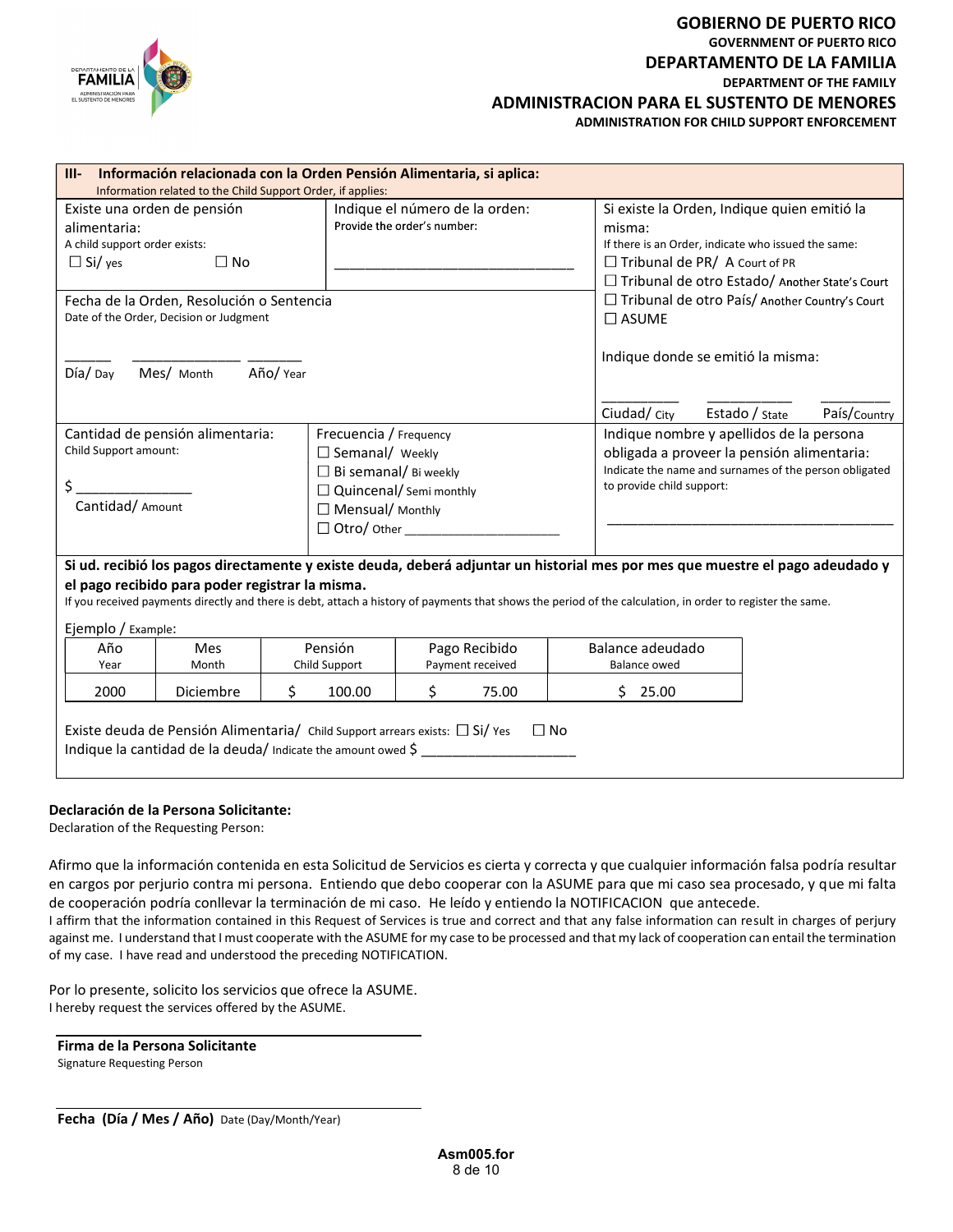

# GOBIERNO DE PUERTO RICO GOVERNMENT OF PUERTO RICO DEPARTAMENTO DE LA FAMILIA DEPARTMENT OF THE FAMILY GOBIERNO DE PUERTO RICO<br>
GOVERNMENT OF PUERTO RICO<br>
DEPARTAMENTO DE LA FAMILIA<br>
DEPARTMENT OF THE FAMILY<br>
ADMINISTRACION PARA EL SUSTENTO DE MENORES<br>
ADMINISTRATION FOR CHILD SUPPORT ENFORCEMENT<br> **EPARTMENT OF MENORES**<br>
AD ADMINISTRATION FOR CHILD SUPPORT ENFORCEMENT

|                                                                                                                                                                                                                                                                                             | Información relacionada con la Orden Pensión Alimentaria, si aplica: |                                                                             |                                                                                      | DEPARTAMENTO DE LA<br><b>FAMILIA</b><br>ADMINISTRACIÓN PARA<br>EL SUSTENTO DE MENORES<br>$III -$ |
|---------------------------------------------------------------------------------------------------------------------------------------------------------------------------------------------------------------------------------------------------------------------------------------------|----------------------------------------------------------------------|-----------------------------------------------------------------------------|--------------------------------------------------------------------------------------|--------------------------------------------------------------------------------------------------|
|                                                                                                                                                                                                                                                                                             |                                                                      | Information related to the Child Support Order, if applies:                 |                                                                                      |                                                                                                  |
| Si existe la Orden, Indique quien emitió la<br>misma:<br>If there is an Order, indicate who issued the same:<br>$\Box$ Tribunal de PR/ A Court of PR<br>□ Tribunal de otro Estado/ Another State's Court                                                                                    | Indique el número de la orden:<br>Provide the order's number:        |                                                                             | $\square$ No                                                                         | Existe una orden de pensión<br>alimentaria:<br>A child support order exists:<br>$\Box$ Si/yes    |
| □ Tribunal de otro País/ Another Country's Court<br>$\square$ ASUME                                                                                                                                                                                                                         |                                                                      |                                                                             | Fecha de la Orden, Resolución o Sentencia<br>Date of the Order, Decision or Judgment |                                                                                                  |
| Indique donde se emitió la misma:                                                                                                                                                                                                                                                           |                                                                      | Año/ Year                                                                   | Mes/ Month                                                                           | Día/Day                                                                                          |
| Ciudad/ City<br>País/Country<br>Estado / State                                                                                                                                                                                                                                              |                                                                      |                                                                             |                                                                                      |                                                                                                  |
| Indique nombre y apellidos de la persona<br>obligada a proveer la pensión alimentaria:<br>Indicate the name and surnames of the person obligated<br>to provide child support:                                                                                                               | $\Box$ Bi semanal/ Bi weekly<br>$\Box$ Quincenal/ Semi monthly       | Frecuencia / Frequency<br>$\Box$ Semanal/ Weekly<br>$\Box$ Mensual/ Monthly | Cantidad de pensión alimentaria:                                                     | Child Support amount:<br>Cantidad/ Amount                                                        |
| Si ud. recibió los pagos directamente y existe deuda, deberá adjuntar un historial mes por mes que muestre el pago adeudado y<br>If you received payments directly and there is debt, attach a history of payments that shows the period of the calculation, in order to register the same. |                                                                      | el pago recibido para poder registrar la misma.                             |                                                                                      |                                                                                                  |
|                                                                                                                                                                                                                                                                                             |                                                                      |                                                                             |                                                                                      | Ejemplo / Example:                                                                               |
| Balance adeudado                                                                                                                                                                                                                                                                            | Pago Recibido<br>Payment received                                    | Pensión<br>Child Support                                                    | Mes<br>Month                                                                         | Año                                                                                              |
| <b>Balance owed</b>                                                                                                                                                                                                                                                                         |                                                                      |                                                                             |                                                                                      | Year                                                                                             |

### Declaración de la Persona Solicitante:

Declaration of the Requesting Person:

notice and correcta y que cualquier información falsa podría resultar<br>soperar con la ASUME para que mi caso sea procesado, y que mi falta<br>eído y entiendo la NOTIFICACION que antecede.<br>the end correct and that any false inf Afirmo que la información contenida en esta Solicitud de Servicios es cierta y correcta y que cualquier información falsa podría resultar en cargos por perjurio contra mi persona. Entiendo que debo cooperar con la ASUME para que mi caso sea procesado, y que mi falta de cooperación podría conllevar la terminación de mi caso. He leído y entiendo la NOTIFICACION que antecede. I affirm that the information contained in this Request of Services is true and correct and that any false information can result in charges of perjury against me. I understand that I must cooperate with the ASUME for my case to be processed and that my lack of cooperation can entail the termination

of my case. I have read and understood the preceding NOTIFICATION.

Por lo presente, solicito los servicios que ofrece la ASUME. I hereby request the services offered by the ASUME.

| Firma de la Persona Solicitante |  |
|---------------------------------|--|
| Signature Requesting Person     |  |

Fecha (Día / Mes / Año) Date (Day/Month/Year)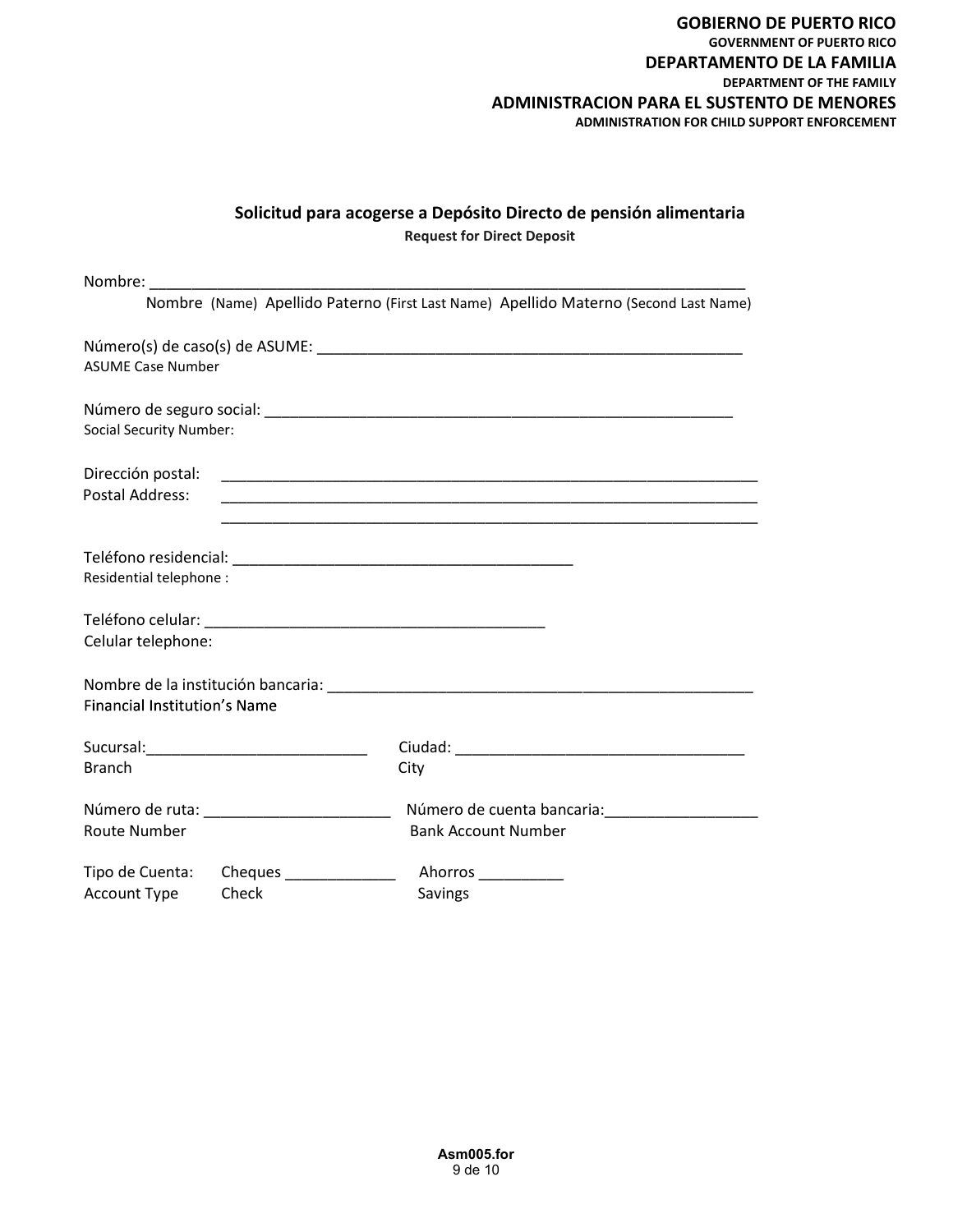# Solicitud para acogerse a Depósito Directo de pensión alimentaria Request for Direct Deposit

|                                     |                                          | Nombre (Name) Apellido Paterno (First Last Name) Apellido Materno (Second Last Name) |
|-------------------------------------|------------------------------------------|--------------------------------------------------------------------------------------|
|                                     |                                          |                                                                                      |
| <b>ASUME Case Number</b>            |                                          |                                                                                      |
|                                     |                                          |                                                                                      |
| <b>Social Security Number:</b>      |                                          |                                                                                      |
| Dirección postal:                   |                                          |                                                                                      |
| Postal Address:                     |                                          | <u> 1989 - Johann Stoff, amerikansk politiker (d. 1989)</u>                          |
|                                     |                                          |                                                                                      |
|                                     |                                          |                                                                                      |
| Residential telephone :             |                                          |                                                                                      |
|                                     |                                          |                                                                                      |
| Celular telephone:                  |                                          |                                                                                      |
|                                     |                                          |                                                                                      |
| <b>Financial Institution's Name</b> |                                          |                                                                                      |
|                                     |                                          |                                                                                      |
| <b>Branch</b>                       |                                          | City                                                                                 |
|                                     |                                          |                                                                                      |
|                                     | Número de ruta: ________________________ |                                                                                      |
| Route Number                        |                                          | <b>Bank Account Number</b>                                                           |
| Tipo de Cuenta:                     | Cheques ________________                 | Ahorros                                                                              |
| Account Type                        | Check                                    | Savings                                                                              |
|                                     |                                          |                                                                                      |
|                                     |                                          |                                                                                      |
|                                     |                                          |                                                                                      |
|                                     |                                          |                                                                                      |
|                                     |                                          |                                                                                      |
|                                     |                                          |                                                                                      |
|                                     |                                          |                                                                                      |
|                                     |                                          |                                                                                      |
|                                     |                                          | Asm005.for<br>9 de 10                                                                |
|                                     |                                          |                                                                                      |
|                                     |                                          |                                                                                      |
|                                     |                                          |                                                                                      |